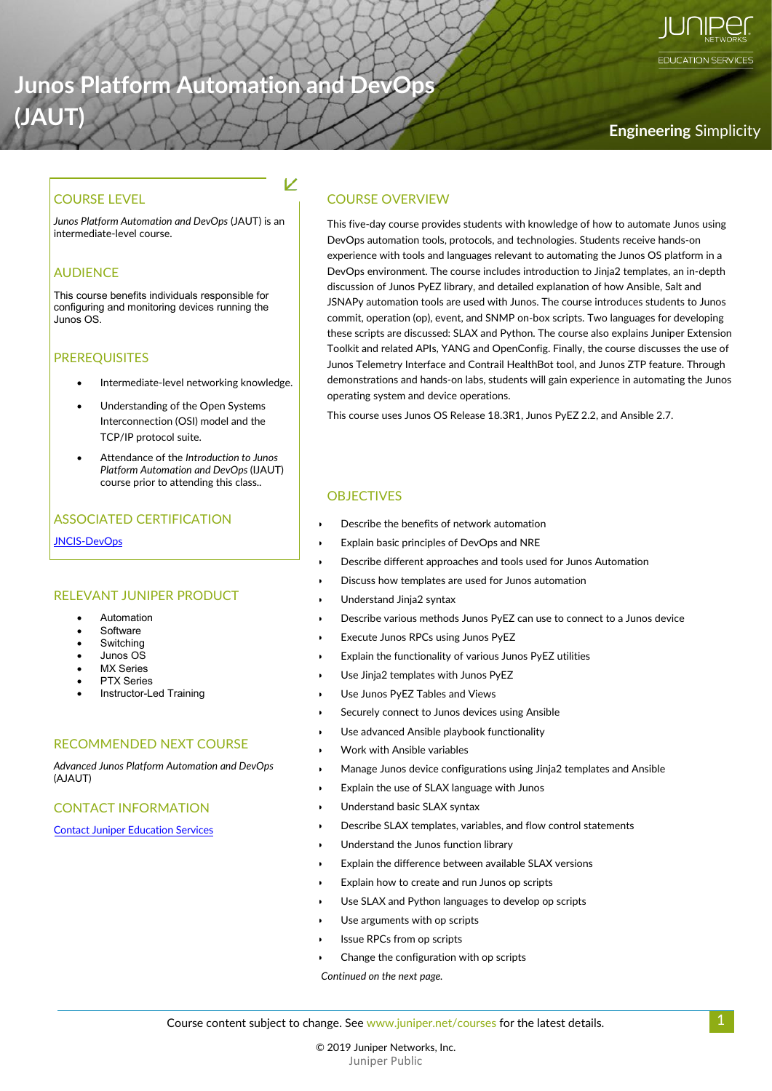# **Junos Platform Automation and DevOps**

K

# **(JAUT) Engineering** Simplicity

**EDUCATION SERVICES** 

*Junos Platform Automation and DevOps* (JAUT) is an

#### AUDIENCE

This course benefits individuals responsible for configuring and monitoring devices running the Junos OS.

#### PREREQUISITES

- Intermediate-level networking knowledge.
- Understanding of the Open Systems Interconnection (OSI) model and the TCP/IP protocol suite.
- Attendance of the *Introduction to Junos Platform Automation and DevOps* (IJAUT) course prior to attending this class..

#### ASSOCIATED CERTIFICATION

[JNCIS-DevOps](https://www.juniper.net/us/en/training/certification/certification-tracks/data-center-track/#jncip-dc)

#### RELEVANT JUNIPER PRODUCT

- **Automation**
- Software
- **Switching**
- Junos OS
- **MX** Series
- PTX Series
- Instructor-Led Training

#### RECOMMENDED NEXT COURSE

*Advanced Junos Platform Automation and DevOps* (AJAUT)

#### CONTACT INFORMATION

[Contact Juniper Education Services](https://learningportal.juniper.net/juniper/contact.aspx)

#### COURSE LEVEL COURSE OVERVIEW

Junos Platform Automation and DevOps (JAUT) is an This five-day course provides students with knowledge of how to automate Junos using intermediate-level course. DevOps automation tools, protocols, and technologies. Students receive hands-on experience with tools and languages relevant to automating the Junos OS platform in a DevOps environment. The course includes introduction to Jinja2 templates, an in-depth discussion of Junos PyEZ library, and detailed explanation of how Ansible, Salt and JSNAPy automation tools are used with Junos. The course introduces students to Junos commit, operation (op), event, and SNMP on-box scripts. Two languages for developing these scripts are discussed: SLAX and Python. The course also explains Juniper Extension Toolkit and related APIs, YANG and OpenConfig. Finally, the course discusses the use of Junos Telemetry Interface and Contrail HealthBot tool, and Junos ZTP feature. Through demonstrations and hands-on labs, students will gain experience in automating the Junos operating system and device operations.

This course uses Junos OS Release 18.3R1, Junos PyEZ 2.2, and Ansible 2.7.

#### **OBJECTIVES**

- Describe the benefits of network automation
- Explain basic principles of DevOps and NRE
- Describe different approaches and tools used for Junos Automation
- Discuss how templates are used for Junos automation
- Understand Jinja2 syntax
- Describe various methods Junos PyEZ can use to connect to a Junos device
- Execute Junos RPCs using Junos PyEZ
- Explain the functionality of various Junos PyEZ utilities
- Use Jinja2 templates with Junos PyEZ
- Use Junos PyEZ Tables and Views
- Securely connect to Junos devices using Ansible
- Use advanced Ansible playbook functionality
- Work with Ansible variables
- Manage Junos device configurations using Jinja2 templates and Ansible
- Explain the use of SLAX language with Junos
- Understand basic SLAX syntax
- Describe SLAX templates, variables, and flow control statements
- Understand the Junos function library
- Explain the difference between available SLAX versions
- Explain how to create and run Junos op scripts
- Use SLAX and Python languages to develop op scripts
- Use arguments with op scripts
- Issue RPCs from op scripts
- Change the configuration with op scripts

*Continued on the next page.*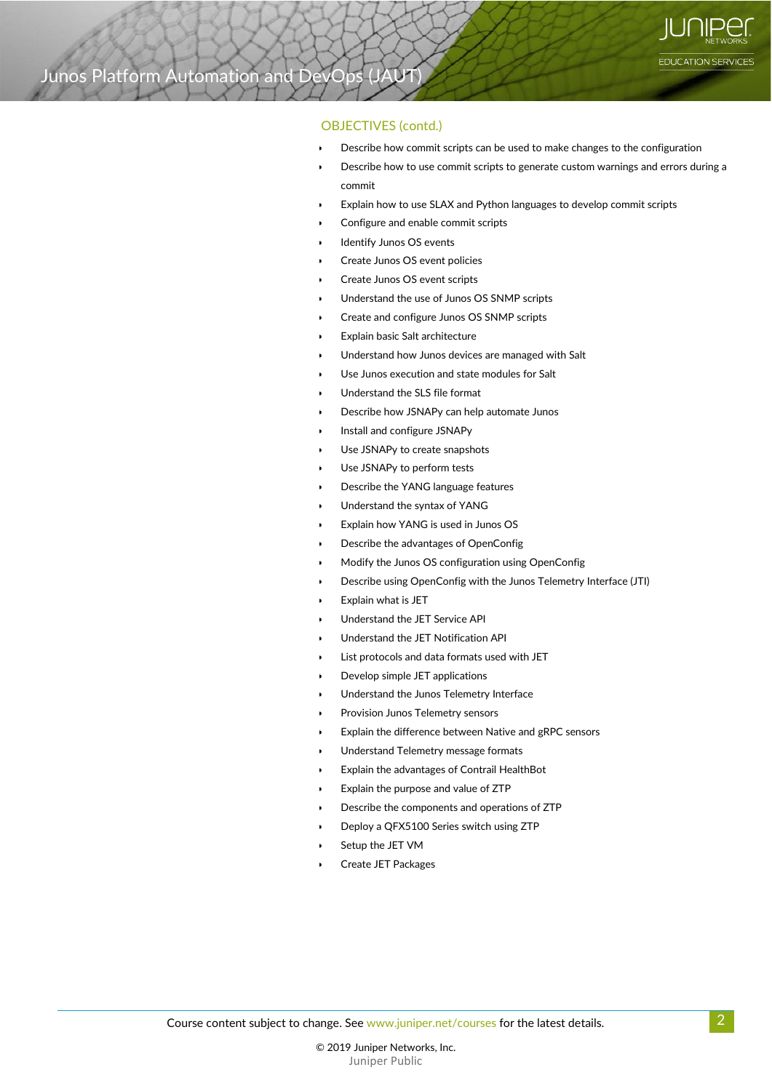#### OBJECTIVES (contd.)

- Describe how commit scripts can be used to make changes to the configuration
- Describe how to use commit scripts to generate custom warnings and errors during a commit
- Explain how to use SLAX and Python languages to develop commit scripts
- Configure and enable commit scripts
- Identify Junos OS events
- Create Junos OS event policies
- Create Junos OS event scripts
- Understand the use of Junos OS SNMP scripts
- Create and configure Junos OS SNMP scripts
- Explain basic Salt architecture
- Understand how Junos devices are managed with Salt
- Use Junos execution and state modules for Salt
- Understand the SLS file format
- Describe how JSNAPy can help automate Junos
- Install and configure JSNAPy
- Use JSNAPy to create snapshots
- Use JSNAPy to perform tests
- Describe the YANG language features
- Understand the syntax of YANG
- Explain how YANG is used in Junos OS
- Describe the advantages of OpenConfig
- Modify the Junos OS configuration using OpenConfig
- Describe using OpenConfig with the Junos Telemetry Interface (JTI)
- Explain what is JET
- Understand the JET Service API
- Understand the JET Notification API
- List protocols and data formats used with JET
	- Develop simple JET applications
- Understand the Junos Telemetry Interface
- Provision Junos Telemetry sensors
- Explain the difference between Native and gRPC sensors
- Understand Telemetry message formats
- Explain the advantages of Contrail HealthBot
- Explain the purpose and value of ZTP
- Describe the components and operations of ZTP
- Deploy a QFX5100 Series switch using ZTP
- Setup the JET VM
- Create JET Packages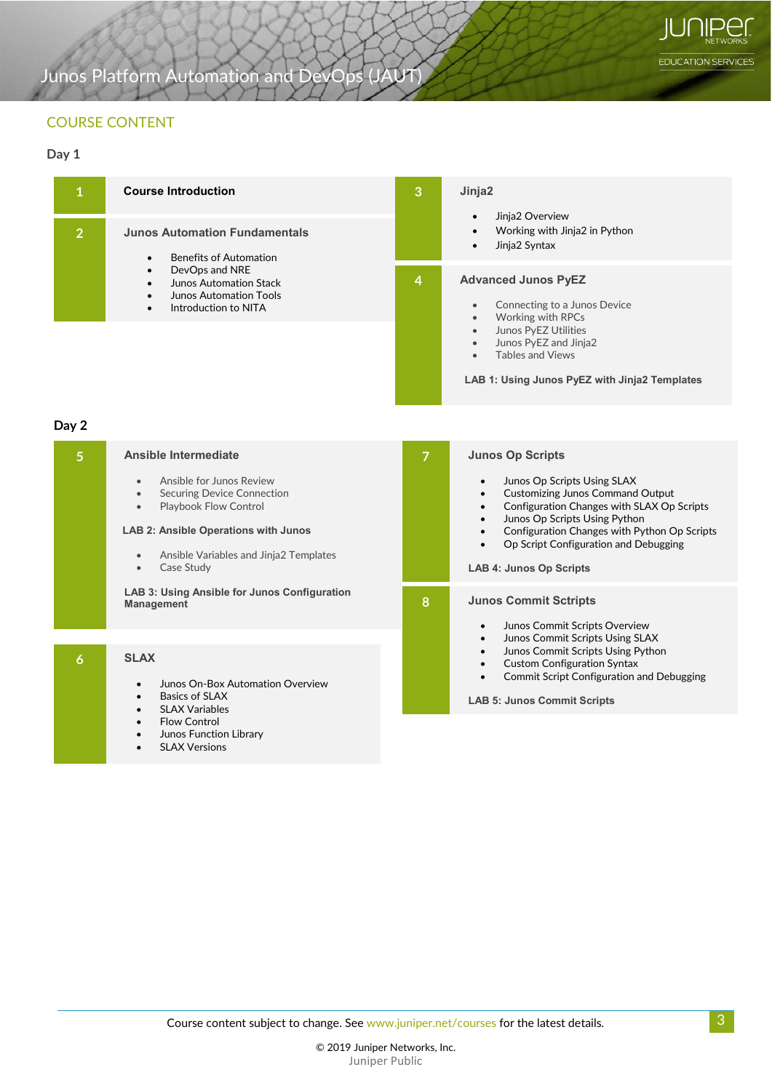EDUCATION SERVICES

# Junos Platform Automation and DevOps (JAUT)

### COURSE CONTENT

#### **Day 1**

|               | <b>Course Introduction</b>                                                                                                                                                                                                                  | 3<br>$\overline{4}$ | Jinja2<br>Jinja2 Overview<br>Working with Jinja2 in Python<br>$\bullet$<br>Jinja2 Syntax<br><b>Advanced Junos PyEZ</b><br>Connecting to a Junos Device<br>$\bullet$<br>Working with RPCs<br>$\bullet$<br>Junos PyEZ Utilities<br>$\bullet$<br>Junos PyEZ and Jinja2<br>$\bullet$<br><b>Tables and Views</b><br>$\bullet$<br>LAB 1: Using Junos PyEZ with Jinja2 Templates |
|---------------|---------------------------------------------------------------------------------------------------------------------------------------------------------------------------------------------------------------------------------------------|---------------------|---------------------------------------------------------------------------------------------------------------------------------------------------------------------------------------------------------------------------------------------------------------------------------------------------------------------------------------------------------------------------|
| $\mathcal{P}$ | <b>Junos Automation Fundamentals</b><br><b>Benefits of Automation</b><br>$\bullet$<br>DevOps and NRE<br>$\bullet$<br>Junos Automation Stack<br>$\bullet$<br><b>Junos Automation Tools</b><br>$\bullet$<br>Introduction to NITA<br>$\bullet$ |                     |                                                                                                                                                                                                                                                                                                                                                                           |
|               |                                                                                                                                                                                                                                             |                     |                                                                                                                                                                                                                                                                                                                                                                           |

**Day 2**

| 5 | <b>Ansible Intermediate</b>                                                                                                                                                                                                                       |   | <b>Junos Op Scripts</b>                                                                                                                                                                                                                                                                                                                                        |
|---|---------------------------------------------------------------------------------------------------------------------------------------------------------------------------------------------------------------------------------------------------|---|----------------------------------------------------------------------------------------------------------------------------------------------------------------------------------------------------------------------------------------------------------------------------------------------------------------------------------------------------------------|
|   | Ansible for Junos Review<br>$\bullet$<br><b>Securing Device Connection</b><br>$\bullet$<br>Playbook Flow Control<br>$\bullet$<br><b>LAB 2: Ansible Operations with Junos</b><br>Ansible Variables and Jinja2 Templates<br>$\bullet$<br>Case Study |   | Junos Op Scripts Using SLAX<br>$\bullet$<br><b>Customizing Junos Command Output</b><br>$\bullet$<br>Configuration Changes with SLAX Op Scripts<br>$\bullet$<br>Junos Op Scripts Using Python<br>$\bullet$<br>Configuration Changes with Python Op Scripts<br>$\bullet$<br>Op Script Configuration and Debugging<br>$\bullet$<br><b>LAB 4: Junos Op Scripts</b> |
|   | LAB 3: Using Ansible for Junos Configuration<br><b>Management</b>                                                                                                                                                                                 | 8 | <b>Junos Commit Sctripts</b><br>Junos Commit Scripts Overview<br>$\bullet$                                                                                                                                                                                                                                                                                     |
| 6 | <b>SLAX</b><br>Junos On-Box Automation Overview<br>$\bullet$<br>Basics of SLAX<br>$\bullet$<br><b>SLAX Variables</b><br>$\bullet$<br><b>Flow Control</b><br>$\bullet$<br>Junos Function Library<br>$\bullet$<br><b>SLAX Versions</b><br>$\bullet$ |   | Junos Commit Scripts Using SLAX<br>$\bullet$<br>Junos Commit Scripts Using Python<br>$\bullet$<br><b>Custom Configuration Syntax</b><br>$\bullet$<br><b>Commit Script Configuration and Debugging</b><br>$\bullet$<br><b>LAB 5: Junos Commit Scripts</b>                                                                                                       |